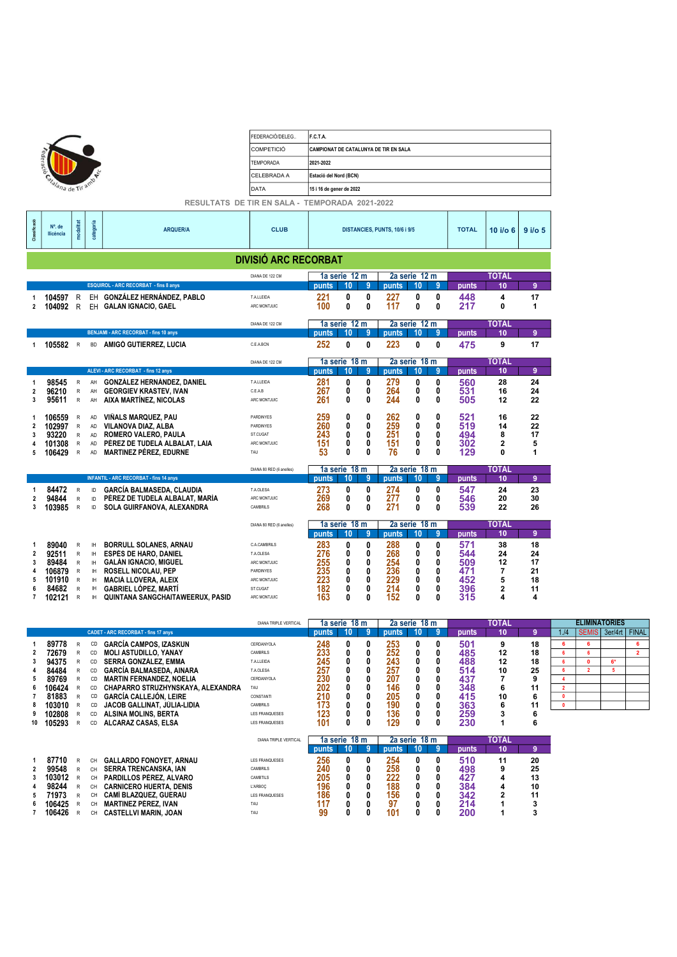| a p |                    |
|-----|--------------------|
|     |                    |
|     | Grafana de Tir amb |

| <b>EFDERACIÓ/DELEG</b>    | F.C.T.A.                                     |
|---------------------------|----------------------------------------------|
| <i><b>ICOMPETICIÓ</b></i> | <b>CAMPIONAT DE CATALUNYA DE TIR EN SALA</b> |
| <b>ITEMPORADA</b>         | 2021-2022                                    |
| <b>ICELEBRADA A</b>       | Estació del Nord (BCN)                       |
| <b>DATA</b>               | 15 i 16 de gener de 2022                     |
|                           |                                              |

RESULTATS DE TIR EN SALA - TEMPORADA 2021-2022

| Classificació    | N°, de<br>llicéncia                 | modalitat                                      | categoría            | <b>ARQUER/A</b>                                                                                            | <b>CLUB</b><br><b>DISTANCIES, PUNTS, 10/6 i 9/5</b><br><b>DIVISIÓ ARC RECORBAT</b> |                          |                  |                  |                          |                  |                  | <b>TOTAL</b>             | 10 i/o 6           | $9$ i/o $5$         |                                    |                      |         |                         |
|------------------|-------------------------------------|------------------------------------------------|----------------------|------------------------------------------------------------------------------------------------------------|------------------------------------------------------------------------------------|--------------------------|------------------|------------------|--------------------------|------------------|------------------|--------------------------|--------------------|---------------------|------------------------------------|----------------------|---------|-------------------------|
|                  |                                     |                                                |                      |                                                                                                            |                                                                                    |                          |                  |                  |                          |                  |                  |                          |                    |                     |                                    |                      |         |                         |
|                  |                                     |                                                |                      |                                                                                                            | DIANA DE 122 CM                                                                    | 1a serie 12 m            |                  |                  | 2a serie 12 m            |                  |                  |                          | TOTAL              |                     |                                    |                      |         |                         |
|                  |                                     |                                                |                      | <b>ESQUIROL - ARC RECORBAT - fins 8 anys</b>                                                               |                                                                                    | punts                    | 10               | -9               | punts                    | 10               | 9                | punts                    | 10                 | 9                   |                                    |                      |         |                         |
| -1<br>2          | 104597<br>104092                    | R<br>$\mathsf{R}$                              | EH<br>EH             | <b>GONZALEZ HERNANDEZ, PABLO</b><br><b>GALAN IGNACIO, GAEL</b>                                             | <b>T.A.LLEIDA</b><br>ARC MONTJUIC                                                  | 221<br>100               | 0<br>0           | 0<br>0           | 227<br>117               | 0<br>0           | 0<br>0           | 448<br>217               | 4<br>0             | 17<br>$\mathbf{1}$  |                                    |                      |         |                         |
|                  |                                     |                                                |                      |                                                                                                            | DIANA DE 122 CM                                                                    | 1a serie 12 m            |                  |                  | 2a serie 12 m            |                  |                  |                          | TOTAL              |                     |                                    |                      |         |                         |
|                  |                                     |                                                |                      | <b>BENJAMI - ARC RECORBAT - fins 10 anys</b>                                                               |                                                                                    | punts                    | 10               | -9               | punts                    | 10               | 9                | punts                    | 10                 | 9                   |                                    |                      |         |                         |
|                  | 105582 R                            |                                                | <b>BD</b>            | AMIGÓ GUTIERREZ, LUCIA                                                                                     | C.E.A.BCN                                                                          | 252                      | 0                | 0                | 223                      | 0                | 0                | 475                      | 9                  | 17                  |                                    |                      |         |                         |
|                  |                                     |                                                |                      |                                                                                                            | DIANA DE 122 CM                                                                    | 1a serie 18 m            |                  |                  | 2a serie 18 m            |                  |                  |                          | TOTAL              |                     |                                    |                      |         |                         |
|                  |                                     |                                                |                      | ALEVI - ARC RECORBAT - fins 12 anys                                                                        |                                                                                    | punts                    | 10               | $\overline{9}$   | punts                    | 10               | 9                | punts                    | 10                 | 9                   |                                    |                      |         |                         |
| -1               | 98545                               | ${\sf R}$                                      | AH                   | <b>GONZÁLEZ HERNÁNDEZ, DANIEL</b>                                                                          | <b>T.A.LLEIDA</b>                                                                  | 281                      | 0                | 0                | 279                      | 0                | 0                | 560                      | 28                 | 24                  |                                    |                      |         |                         |
| 2                | 96210                               | ${\sf R}$                                      | AH                   | <b>GEORGIEV KRASTEV, IVAN</b>                                                                              | CEAR                                                                               | 267                      | 0                | 0                | 264                      | 0                | 0                | 531                      | 16                 | 24                  |                                    |                      |         |                         |
| 3                | 95611                               | ${\sf R}$                                      | AH                   | AIXA MARTÍNEZ, NICOLAS                                                                                     | ARC MONTJUIC                                                                       | 261                      | 0                | 0                | 244                      | 0                | 0                | 505                      | 12                 | 22                  |                                    |                      |         |                         |
| 1<br>2<br>3<br>4 | 106559<br>102997<br>93220<br>101308 | R<br>${\sf R}$<br>$\mathsf{R}$<br>$\mathsf{R}$ | AD<br>AD<br>AD<br>AD | <b>VIÑALS MARQUEZ, PAU</b><br>VILANOVA DIAZ, ALBA<br>ROMERO VALERO, PAULA<br>PÉREZ DE TUDELA ALBALAT, LAIA | <b>PARDINYES</b><br>PARDINYES<br>ST.CUGAT<br>ARC MONTJUIC                          | 259<br>260<br>243<br>151 | 0<br>0<br>0<br>0 | 0<br>0<br>0<br>0 | 262<br>259<br>251<br>151 | 0<br>0<br>0<br>0 | 0<br>0<br>0<br>0 | 521<br>519<br>494<br>302 | 16<br>14<br>8<br>2 | 22<br>22<br>17<br>5 |                                    |                      |         |                         |
| 5                | 106429                              | $\,$ R                                         | AD                   | <b>MARTINEZ PÉREZ, EDURNE</b>                                                                              | TAU                                                                                | 53                       | U                | <sup>0</sup>     | 76                       | 0                | 0                | 129                      | 0                  | 1                   |                                    |                      |         |                         |
|                  |                                     |                                                |                      |                                                                                                            | DIANA 80 RED (6 anelles)                                                           | 1a serie 18 m            |                  |                  | 2a serie 18 m            |                  |                  |                          | TOTAL              |                     |                                    |                      |         |                         |
|                  |                                     |                                                |                      | <b>INFANTIL - ARC RECORBAT - fins 14 anys</b>                                                              |                                                                                    | punts                    | 10               | 9                | punts                    | 10               | 9                | punts                    | 10                 | 9                   |                                    |                      |         |                         |
| -1               | 84472                               | $\mathsf{R}$                                   | ID                   | <b>GARCÍA BALMASEDA, CLAUDIA</b>                                                                           | <b>T.A.OLESA</b>                                                                   | 273                      | 0                | 0                | 274                      | 0                | 0                | 547                      | 24                 | 23                  |                                    |                      |         |                         |
| 2                | 94844                               | ${\sf R}$                                      | ID                   | PÉREZ DE TUDELA ALBALAT, MARÍA                                                                             | ARC MONT.ILIC                                                                      | 269                      | 0                | 0                | 277                      | 0                | 0                | 546                      | 20                 | 30                  |                                    |                      |         |                         |
| 3                | 103985                              | ${\sf R}$                                      | ID                   | SOLA GUIRFANOVA, ALEXANDRA                                                                                 | CAMBRILS                                                                           | 268                      | 0                | 0                | 271                      | 0                | 0                | 539                      | 22                 | 26                  |                                    |                      |         |                         |
|                  |                                     |                                                |                      |                                                                                                            | DIANA 80 RED (6 anelles)                                                           | 1a serie 18 m            |                  |                  | 2a serie 18 m            |                  |                  |                          | TOTAL              |                     |                                    |                      |         |                         |
|                  |                                     |                                                |                      |                                                                                                            |                                                                                    | punts                    | 10 <sub>1</sub>  | -9               | punts                    | 10               | 9                | punts                    | 10                 | 9                   |                                    |                      |         |                         |
| -1               | 89040                               | $\mathsf{R}$                                   | IH.                  | <b>BORRULL SOLANES, ARNAU</b>                                                                              | <b>C.A.CAMBRILS</b>                                                                | 283                      | 0                | 0                | 288                      | 0                | 0                | 571                      | 38                 | 18                  |                                    |                      |         |                         |
| 2                | 92511                               | ${\sf R}$                                      | IH.                  | <b>ESPÉS DE HARO, DANIEL</b>                                                                               | T.A.OLESA                                                                          | 276                      | 0                | 0                | 268                      | 0                | 0                | 544                      | 24                 | 24                  |                                    |                      |         |                         |
| 3                | 89484                               | ${\sf R}$                                      | <b>IH</b>            | <b>GALÁN IGNACIO, MIGUEL</b>                                                                               | ARC MONTJUIC                                                                       | 255                      | 0                | 0                | 254                      | 0                | 0                | 509                      | 12                 | 17                  |                                    |                      |         |                         |
| 4                | 106879                              | R                                              | IH.                  | ROSELL NICOLAU, PEP                                                                                        | PARDINYES                                                                          | 235                      | 0                | 0                | 236                      | 0                | 0                | 471                      | 7                  | 21                  |                                    |                      |         |                         |
| 5                | 101910                              | R                                              | Н                    | <b>MACIA LLOVERA, ALEIX</b>                                                                                | ARC MONTJUIC                                                                       | 223                      | 0                | 0                | 229                      | 0                | 0                | 452                      | 5                  | 18                  |                                    |                      |         |                         |
| 6                | 84682                               | ${\sf R}$                                      | H                    | <b>GABRIEL LÓPEZ, MARTÍ</b>                                                                                | ST.CUGAT                                                                           | 182                      | 0<br>0           | 0<br>0           | 214                      | 0<br>0           | 0<br>0           | 396                      | 2                  | 11                  |                                    |                      |         |                         |
| $\overline{7}$   | 102121                              | $\mathsf{R}$                                   | H                    | QUINTANA SANGCHAITAWEERUX, PASID                                                                           | ARC MONTJUIC                                                                       | 163                      |                  |                  | 152                      |                  |                  | 315                      | 4                  | 4                   |                                    |                      |         |                         |
|                  |                                     |                                                |                      |                                                                                                            |                                                                                    |                          |                  |                  |                          |                  |                  |                          |                    |                     |                                    |                      |         |                         |
|                  |                                     |                                                |                      |                                                                                                            | DIANA TRIPLE VERTICAL                                                              | 1a serie 18 m            |                  |                  | 2a serie 18 m            |                  |                  |                          | TOTAL              |                     |                                    | <b>ELIMINATÓRIES</b> |         |                         |
|                  |                                     |                                                |                      | <b>CADET - ARC RECORBAT - fins 17 anys</b>                                                                 |                                                                                    | punts                    | 10               | 9                | punts                    | 10 <sup>°</sup>  | 9                | punts                    | 10                 | 9                   | 1.14                               | <b>SEM</b>           | 3er/4rt | <b>FINAL</b>            |
| -1               | 89778                               | ${\sf R}$                                      | CD                   | <b>GARCÍA CAMPOS, IZASKUN</b>                                                                              | CERDANYOLA                                                                         | 248                      | 0                | 0                | 253                      | 0                | 0                | 501                      | 9                  | 18                  | 6                                  | $\bf 6$              |         | 6                       |
| 2                | 72679                               | $\mathsf{R}$                                   | CD                   | <b>MOLI ASTUDILLO, YANAY</b>                                                                               | CAMBRILS                                                                           | 233                      | 0                | 0                | 252                      | 0                | 0                | 485                      | 12                 | 18                  | $6\phantom{1}6$                    | 6                    |         | $\overline{\mathbf{2}}$ |
| 3                | 94375                               | $\mathsf{R}$                                   | CD                   | SERRA GONZÁLEZ, EMMA                                                                                       | <b>T.A.LLEIDA</b>                                                                  | 245                      | 0                | 0                | 243                      | 0                | 0                | 488                      | 12                 | 18                  | $\boldsymbol{6}$                   | $\mathbf{0}$         | $6*$    |                         |
| 4<br>5           | 84484<br>89769                      | ${\sf R}$                                      | CD<br>CD             | GARCÍA BALMASEDA, AINARA<br><b>MARTIN FERNANDEZ, NOELIA</b>                                                | T.A.OLESA<br>CERDANYOLA                                                            | 257<br>230               | 0<br>0           | 0<br>0           | 257<br>207               | 0<br>0           | 0<br>0           | 514<br>437               | 10<br>7            | 25<br>9             | $\boldsymbol{6}$<br>$\overline{4}$ | $\overline{2}$       | 5       |                         |
| 6                | 106424                              | $\mathsf{R}$<br>R                              | CD                   | CHAPARRO STRUZHYNSKAYA, ALEXANDRA                                                                          | TAU                                                                                | 202                      | 0                | 0                | 146                      | 0                | 0                | 348                      | 6                  | 11                  | $\overline{\mathbf{2}}$            |                      |         |                         |
| 7                | 81883                               | $\mathsf{R}$                                   | CD                   | <b>GARCÍA CALLEJÓN, LEIRE</b>                                                                              | CONSTANTI                                                                          | 210                      | 0                | O                | 205                      | 0                | 0                | 415                      | 10                 | 6                   | $\pmb{0}$                          |                      |         |                         |
| 8                | 103010                              | R                                              | CD                   | JACOB GALLINAT, JULIA-LIDIA                                                                                | CAMBRILS                                                                           | 173                      | 0                | 0                | 190                      | 0                | 0                | 363                      | 6                  | 11                  | $\pmb{0}$                          |                      |         |                         |
| 9                | 102808                              | $\mathsf{R}$                                   | CD                   | ALSINA MOLINS, BERTA                                                                                       | LES FRANQUESES                                                                     | 123                      | 0                | 0                | 136                      | 0                | 0                | 259                      | 3                  | 6                   |                                    |                      |         |                         |
| 10               | 105293                              | $\mathsf{R}$                                   | CD                   | ALCARAZ CASAS. ELSA                                                                                        | <b>LES FRANQUESES</b>                                                              | 101                      | U                | O                | 129                      | $\mathbf{0}$     | 0                | 230                      | 1                  | 6                   |                                    |                      |         |                         |

| .      |              |    |                                |                              | .     |    |   | .              |    |   | ---           |       |    |
|--------|--------------|----|--------------------------------|------------------------------|-------|----|---|----------------|----|---|---------------|-------|----|
|        |              |    |                                | <b>DIANA TRIPLE VERTICAL</b> |       |    |   |                |    |   |               | TOTAL |    |
|        |              |    |                                |                              | punts | 10 |   | punts          | 10 |   | punts         | 10    | 9  |
| 87710  |              | CН | <b>GALLARDO FONOYET, ARNAU</b> | LES FRANQUESES               | 256   |    | 0 | 254            |    | 0 | 510           | 11    | 20 |
| 99548  | R            | CH | <b>SERRA TRENCANSKA, IAN</b>   | CAMBRILS                     | 240   |    | 0 | 258            |    | 0 | 498           | 9     | 25 |
| 103012 |              | CH | <b>PARDILLOS PÉREZ, ALVARO</b> | CAMBTILS                     | 205   |    | 0 | 222            |    | 0 | 427           | 4     | 13 |
| 98244  | R            | CH | <b>CARNICERO HUERTA, DENIS</b> | L'ARBOC                      | 196   |    | 0 | 188            |    | 0 | 384           | 4     | 10 |
| 71973  | R            | CН | <b>CAMÍ BLAZQUEZ, GUERAU</b>   | LES FRANQUESES               | 186   |    | 0 | 156            |    | 0 | 342           | 2     | 11 |
| 106425 | $\mathsf{R}$ | CH | <b>MARTINEZ PÉREZ. IVAN</b>    | TAU                          | 117   |    | 0 | 97             |    | 0 | 214           |       |    |
| 106426 |              | CН | <b>CASTELLVI MARIN, JOAN</b>   | TAU                          | 99    |    | Λ | 101            |    | 0 | 200           |       |    |
|        |              |    |                                |                              |       |    |   | 1a serie  18 m |    |   | 2a serie 18 m |       |    |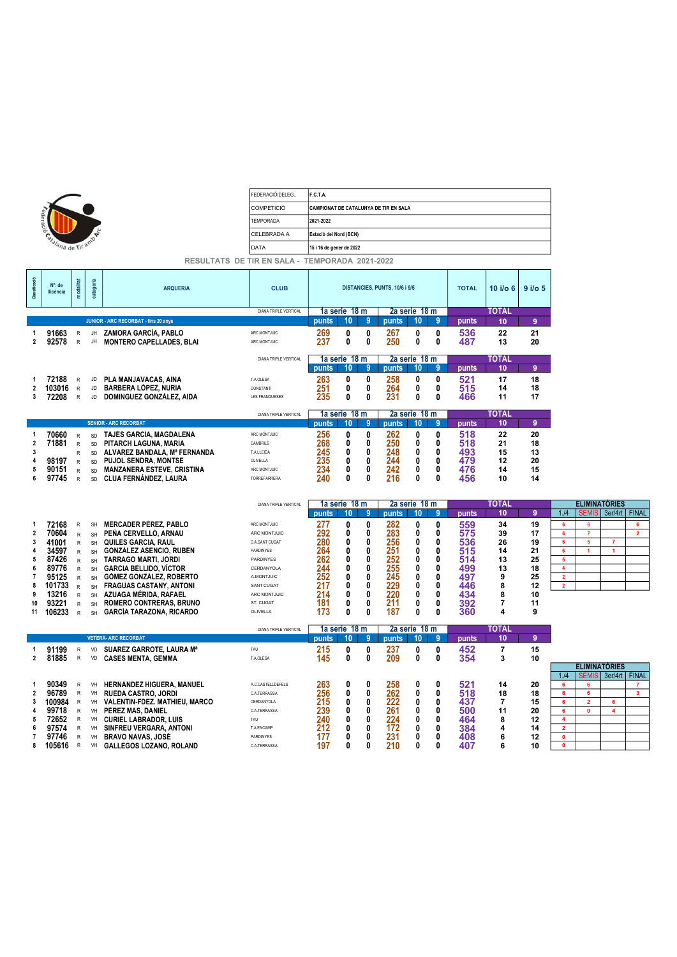

 $\Box$  $\mathcal{L}(\mathcal{A})$ 

| <b>FEDERACIÓ/DELEG</b> | F.C.T.A.                              |  |  |  |  |  |  |  |
|------------------------|---------------------------------------|--|--|--|--|--|--|--|
| COMPETICIÓ             | CAMPIONAT DE CATALUNYA DE TIR EN SALA |  |  |  |  |  |  |  |
| <b>ITEMPORADA</b>      | 2021-2022                             |  |  |  |  |  |  |  |
| <b>ICELEBRADA A</b>    | Estació del Nord (BCN)                |  |  |  |  |  |  |  |
| <b>IDATA</b>           | 15 i 16 de gener de 2022              |  |  |  |  |  |  |  |

## RESULTATS DE TIR EN SALA - TEMPORADA 2021-2022

| Classificació       | N°. de<br>llicéncia | modalitat                    | categoría       | <b>ARQUER/A</b>                                                    | <b>CLUB</b>                       |            |                     |                | DISTANCIES, PUNTS, 10/6 i 9/5 |                     |        | <b>TOTAL</b> | $10 i$ /o 6         | $9$ i/o $5$ |                                      |                      |         |                              |
|---------------------|---------------------|------------------------------|-----------------|--------------------------------------------------------------------|-----------------------------------|------------|---------------------|----------------|-------------------------------|---------------------|--------|--------------|---------------------|-------------|--------------------------------------|----------------------|---------|------------------------------|
|                     |                     |                              |                 |                                                                    | DIANA TRIPLE VERTICAL             |            | 1a serie 18 m       |                |                               | 2a serie 18 m       |        |              | TOTAL               |             |                                      |                      |         |                              |
|                     |                     |                              |                 | JUNIOR - ARC RECORBAT - fins 20 anys                               |                                   | punts      | 10                  | 9              | punts                         | 10                  | 9      | punts        | 10                  | 9           |                                      |                      |         |                              |
| 1<br>2              | 91663<br>92578      | $\mathsf{R}$<br>${\sf R}$    | JH<br>JH        | ZAMORA GARCIA, PABLO<br><b>MONTERO CAPELLADES, BLAI</b>            | ARC MONTJUIC<br>ARC MONTJUIC      | 269<br>237 | 0<br>0              | 0<br>0         | 267<br>250                    | 0<br>0              | 0<br>0 | 536<br>487   | 22<br>13            | 21<br>20    |                                      |                      |         |                              |
|                     |                     |                              |                 |                                                                    | DIANA TRIPLE VERTICAL             |            | 1a serie 18 m       |                |                               | 2a serie 18 m       |        |              | TOTAL               |             |                                      |                      |         |                              |
|                     |                     |                              |                 |                                                                    |                                   | punts      | 10                  | 9              | punts                         | 10                  | -9     | punts        | 10                  | 9           |                                      |                      |         |                              |
| ำ<br>$\overline{2}$ | 72188<br>103016     | $\mathsf{R}$<br>$\,$ R       | JD<br>JD        | PLA MANJAVACAS, AINA<br><b>BARBERA LÓPEZ, NURIA</b>                | T.A.OLESA<br>CONSTANTI            | 263<br>251 | 0<br>0              | 0<br>0         | 258<br>264                    | 0<br>0              | 0<br>0 | 521<br>515   | 17<br>14            | 18<br>18    |                                      |                      |         |                              |
| 3                   | 72208               | $\mathsf{R}$                 | JD              | DOMINGUEZ GONZALEZ, AIDA                                           | <b>LES FRANQUESES</b>             | 235        | 0                   | 0              | 231                           | 0                   | 0      | 466          | 11                  | 17          |                                      |                      |         |                              |
|                     |                     |                              |                 |                                                                    |                                   |            |                     |                |                               |                     |        |              |                     |             |                                      |                      |         |                              |
|                     |                     |                              |                 | <b>SENIOR - ARC RECORBAT</b>                                       | DIANA TRIPLE VERTICAL             |            | 1a serie 18 m       | 9              |                               | 2a serie 18 m       | 9      |              | TOTAL               |             |                                      |                      |         |                              |
| -1                  |                     |                              |                 |                                                                    |                                   | punts      | 10                  |                | punts                         | 10                  |        | punts        | 10                  | 9           |                                      |                      |         |                              |
| $\overline{2}$      | 70660<br>71881      | $\mathsf{R}$<br>$\mathsf{R}$ | SD<br>SD        | <b>TAJES GARCÍA, MAGDALENA</b><br>PITARCH LAGUNA, MARÍA            | ARC MONTJUIC<br>CAMBRILS          | 256<br>268 | 0<br>0              | 0<br>0         | 262<br>250                    | 0<br>0              | 0<br>0 | 518<br>518   | 22<br>21            | 20<br>18    |                                      |                      |         |                              |
| 3                   |                     | ${\sf R}$                    | SD              | ALVAREZ BANDALA, Mª FERNANDA                                       | <b>T.A.LLEIDA</b>                 | 245        | 0                   | 0              | 248                           | 0                   | 0      | 493          | 15                  | 13          |                                      |                      |         |                              |
| 4                   | 98197               | R                            | SD              | <b>PUJOL SENDRA, MONTSE</b>                                        | OLIVELLA                          | 235        | 0                   | 0              | 244                           | 0                   | 0      | 479          | 12                  | 20          |                                      |                      |         |                              |
| 5                   | 90151               | $\mathsf{R}$                 | SD              | <b>MANZANERA ESTEVE, CRISTINA</b>                                  | ARC MONTJUIC                      | 234        | 0                   | 0              | 242                           | 0                   | 0      | 476          | 14                  | 15          |                                      |                      |         |                              |
| 6                   | 97745               | $\mathsf{R}$                 | SD              | <b>CLUA FERNANDEZ, LAURA</b>                                       | TORREFARRERA                      | 240        | 0                   | 0              | 216                           | 0                   | 0      | 456          | 10                  | 14          |                                      |                      |         |                              |
|                     |                     |                              |                 |                                                                    |                                   |            |                     |                |                               |                     |        |              |                     |             |                                      |                      |         |                              |
|                     |                     |                              |                 |                                                                    | DIANA TRIPLE VERTICAL             |            | 1a serie 18 m       |                |                               | 2a serie 18 m       |        |              | TOTAL               |             |                                      | <b>ELIMINATÓRIES</b> |         |                              |
|                     |                     |                              |                 |                                                                    |                                   | punts      | 10                  | $\overline{9}$ | punts                         | 10                  | 9      | punts        | 10                  | 9           | 1.14                                 | <b>SEMIS</b>         | 3er/4rt | <b>FINAL</b>                 |
|                     |                     |                              |                 |                                                                    |                                   |            |                     |                |                               |                     |        |              |                     |             |                                      |                      |         |                              |
| -1                  | 72168               | $\mathsf{R}$                 | SH              | <b>MERCADER PÉREZ. PABLO</b>                                       | ARC MONTJUIC                      | 277        | 0                   | 0              | 282                           | 0                   | 0      | 559          | 34                  | 19          | 6                                    | 6                    |         | 6                            |
| $\overline{2}$      | 70604               | $\mathsf{R}$                 | SH              | PENA CERVELLO, ARNAU                                               | ARC MONTJUIC                      | 292        | 0                   | 0              | 283                           | 0                   | 0      | 575          | 39                  | 17          | 6                                    | $\overline{7}$       |         | $\overline{2}$               |
| 3<br>4              | 41001               | $\mathsf{R}$                 | SH              | QUILES GARCIA. RAUL                                                | C.A.SANT CUGAT<br>PARDINYES       | 280        | 0                   | 0<br>0         | 256                           | 0                   | 0<br>0 | 536          | 26<br>14            | 19<br>21    | 6<br>6                               | 5<br>1               | 7<br>1  |                              |
| 5                   | 34597<br>87426      | $\mathsf{R}$<br>$\mathsf{R}$ | SH<br>SH        | <b>GONZALEZ ASENCIO, RUBÉN</b><br>TARRAGÓ MARTÍ, JORDI             | PARDINYES                         | 264<br>262 | 0<br>0              | 0              | 251<br>252                    | 0<br>0              | 0      | 515<br>514   | 13                  | 25          | 5                                    |                      |         |                              |
| 6                   | 89776               | ${\sf R}$                    | SH              | <b>GARCIA BELLIDO, VICTOR</b>                                      | CERDANYOLA                        | 244        | 0                   | 0              | 255                           | 0                   | 0      | 499          | 13                  | 18          | 4                                    |                      |         |                              |
| $\overline{7}$      | 95125               | $\mathsf{R}$                 | SH              | GÓMEZ GONZÁLEZ, ROBERTO                                            | A.MONTJUIC                        | 252        | 0                   | 0              | 245                           | 0                   | 0      | 497          | 9                   | 25          | $\overline{2}$                       |                      |         |                              |
| 8                   | 101733              | $\mathsf{R}$                 | SH              | <b>FRAGUAS CASTANY, ANTONI</b>                                     | <b>SANT CUGAT</b>                 | 217        | 0                   | 0              | 229                           | 0                   | 0      | 446          | 8                   | 12          | $\overline{\mathbf{2}}$              |                      |         |                              |
| 9<br>10             | 13216<br>93221      | $\mathsf{R}$<br>$\mathsf{R}$ | SH<br><b>SH</b> | AZUAGA MERIDA, RAFAEL<br><b>ROMERO CONTRERAS, BRUNO</b>            | ARC MONTJUIC<br>ST. CUGAT         | 214<br>181 | 0<br>0              | 0<br>0         | 220<br>211                    | 0<br>0              | 0<br>0 | 434<br>392   | 8<br>$\overline{7}$ | 10<br>11    |                                      |                      |         |                              |
| 11                  | 106233              | $\mathsf{R}$                 | SH              | <b>GARCÍA TARAZONA, RICARDO</b>                                    | OLIVELLA                          | 173        | 0                   | $\mathbf{0}$   | 187                           | 0                   | 0      | 360          | 4                   | 9           |                                      |                      |         |                              |
|                     |                     |                              |                 |                                                                    |                                   |            |                     |                |                               |                     |        |              |                     |             |                                      |                      |         |                              |
|                     |                     |                              |                 | <b>VETERÀ- ARC RECORBAT</b>                                        | DIANA TRIPLE VERTICAL             | punts      | 1a serie 18 m<br>10 | 9              | punts                         | 2a serie 18 m<br>10 | -9     |              | TOTAL<br>10         | 9           |                                      |                      |         |                              |
| 1                   |                     |                              | VD              |                                                                    | TAU                               |            |                     |                |                               |                     |        | punts        |                     |             |                                      |                      |         |                              |
| 2                   | 91199<br>81885      | ${\sf R}$<br>$\sf R$         | VD              | SUAREZ GARROTE, LAURA Mª<br><b>CASES MENTA, GEMMA</b>              | T.A.OLESA                         | 215<br>145 | 0<br>0              | 0<br>0         | 237<br>209                    | 0<br>0              | 0<br>0 | 452<br>354   | 7<br>3              | 15<br>10    |                                      |                      |         |                              |
|                     |                     |                              |                 |                                                                    |                                   |            |                     |                |                               |                     |        |              |                     |             |                                      | <b>ELIMINATÓRIES</b> |         |                              |
|                     |                     |                              |                 |                                                                    |                                   |            |                     |                |                               |                     |        |              |                     |             | 1.14                                 | <b>SEMIS</b>         | 3er/4rt | <b>FINAL</b>                 |
| 1<br>$\overline{2}$ | 90349<br>96789      | R<br>$\mathsf{R}$            | VH<br>VH        | HERNÁNDEZ HIGUERA. MANUEL                                          | A.C.CASTELLDEFELS<br>C.A.TERRASSA | 263        | 0                   | 0<br>0         | 258                           | 0<br>0              | 0<br>0 | 521          | 14<br>18            | 20<br>18    | 6<br>6                               | 6<br>6               |         | 7<br>$\overline{\mathbf{3}}$ |
| 3                   | 100984              | $\mathsf{R}$                 | VH              | <b>RUEDA CASTRO, JORDI</b><br><b>VALENTIN-FDEZ. MATHIEU, MARCO</b> | CERDANYOLA                        | 256<br>215 | 0<br>0              | 0              | 262<br>222                    | 0                   | 0      | 518<br>437   | $\overline{7}$      | 15          | 6                                    | $\overline{2}$       | 6       |                              |
| 4                   | 99718               | $\mathsf{R}$                 | VH              | <b>PEREZ MAS, DANIEL</b>                                           | C.A.TERRASSA                      | 239        | 0                   | 0              | 261                           | 0                   | 0      | 500          | 11                  | 20          | 6                                    | $\bullet$            | 4       |                              |
| 5                   | 72652               | R                            | VH              | <b>CURIEL LABRADOR, LUIS</b>                                       | TAU                               | 240        | 0                   | 0              | 224                           | 0                   | 0      | 464          | 8                   | 12          | 4                                    |                      |         |                              |
| 6<br>$\overline{7}$ | 97574<br>97746      | $\mathsf{R}$<br>R            | VH<br>VH        | SINFREU VERGARA, ANTONI<br><b>BRAVO NAVAS, JOSE</b>                | <b>T.A.ENCAMP</b><br>PARDINYES    | 212<br>177 | 0<br>0              | 0<br>0         | 172<br>231                    | 0<br>0              | 0<br>0 | 384<br>408   | 4<br>6              | 14<br>12    | $\overline{\mathbf{2}}$<br>$\bullet$ |                      |         |                              |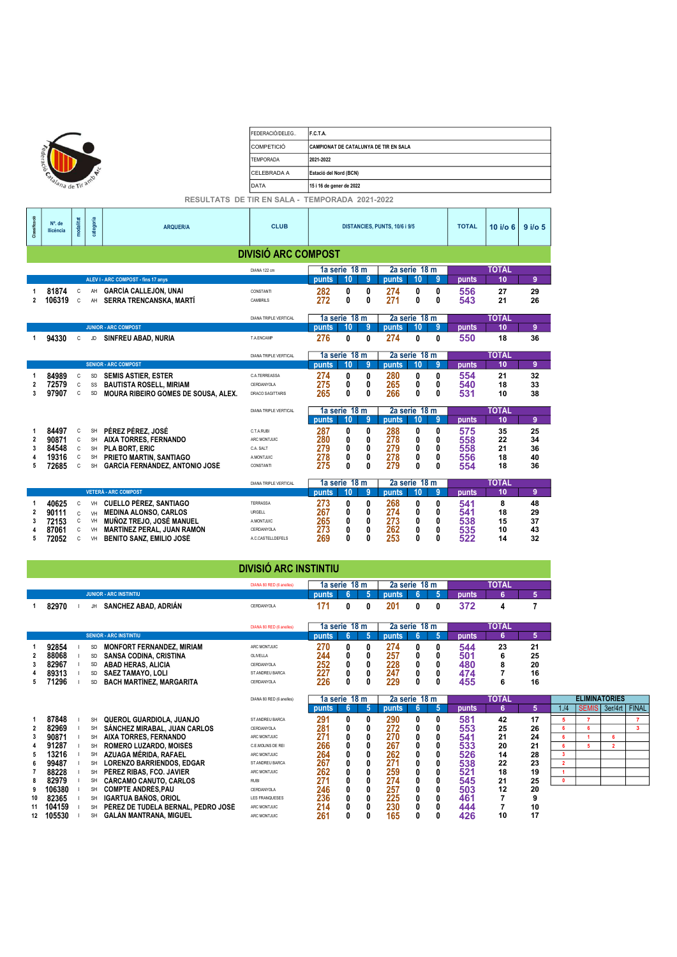|                              |                    |                             |           |                                                               | FEDERACIÓ/DELEG              | F.C.T.A.                 |                     |              |                                       |                     |                |              |                    |                |
|------------------------------|--------------------|-----------------------------|-----------|---------------------------------------------------------------|------------------------------|--------------------------|---------------------|--------------|---------------------------------------|---------------------|----------------|--------------|--------------------|----------------|
|                              |                    |                             |           |                                                               | <b>COMPETICIÓ</b>            |                          |                     |              | CAMPIONAT DE CATALUNYA DE TIR EN SALA |                     |                |              |                    |                |
|                              |                    |                             |           |                                                               | <b>TEMPORADA</b>             | 2021-2022                |                     |              |                                       |                     |                |              |                    |                |
|                              | 'n                 |                             |           |                                                               | CELEBRADA A                  | Estació del Nord (BCN)   |                     |              |                                       |                     |                |              |                    |                |
|                              | Grafana de Tiramio |                             |           |                                                               | <b>DATA</b>                  | 15 i 16 de gener de 2022 |                     |              |                                       |                     |                |              |                    |                |
|                              |                    |                             |           | RESULTATS DE TIR EN SALA - TEMPORADA 2021-2022                |                              |                          |                     |              |                                       |                     |                |              |                    |                |
|                              |                    |                             |           |                                                               |                              |                          |                     |              |                                       |                     |                |              |                    |                |
| Classificació                | N°. de             | modalitat                   | categoría | <b>ARQUER/A</b>                                               | <b>CLUB</b>                  |                          |                     |              | DISTANCIES, PUNTS, 10/6 i 9/5         |                     |                | <b>TOTAL</b> | 10 i/o 6           | $9$ i/o $5$    |
|                              | llicéncia          |                             |           |                                                               |                              |                          |                     |              |                                       |                     |                |              |                    |                |
|                              |                    |                             |           |                                                               | <b>DIVISIÓ ARC COMPOST</b>   |                          |                     |              |                                       |                     |                |              |                    |                |
|                              |                    |                             |           |                                                               | DIANA 122 cm                 |                          | 1a serie 18 m       |              |                                       | 2a serie 18 m       |                |              | <b>TOTAL</b>       |                |
|                              |                    |                             |           | ALEV I - ARC COMPOST - fins 17 anys                           |                              | punts                    | 10                  | 9            | punts                                 | 10                  | 9              | punts        | 10                 | $\overline{9}$ |
| 1                            | 81874              | $\mathsf{C}$                | AH        | <b>GARCÍA CALLEJÓN, UNAI</b>                                  | CONSTANTI                    | 282                      | 0                   | 0            | 274                                   | 0                   | 0              | 556          | 27                 | 29             |
| $\overline{2}$               | 106319             | $\mathbf{C}$                | AH        | <b>SERRA TRENCANSKA, MARTÍ</b>                                | CAMBRILS                     | 272                      | 0                   | $\mathbf{0}$ | 271                                   | 0                   | 0              | 543          | 21                 | 26             |
|                              |                    |                             |           |                                                               | <b>DIANA TRIPLE VERTICAL</b> |                          | 1a serie 18 m       |              |                                       | 2a serie 18 m       |                |              | <b>TOTAL</b>       |                |
|                              |                    |                             |           | <b>JUNIOR - ARC COMPOST</b>                                   |                              | punts                    | 10                  | 9            | punts                                 | 10                  | 9              | punts        | 10                 | 9              |
| 1                            | 94330              | C                           | JD        | SINFREU ABAD, NURIA                                           | <b>T.A.ENCAMP</b>            | 276                      | 0                   | 0            | 274                                   | 0                   | 0              | 550          | 18                 | 36             |
|                              |                    |                             |           |                                                               | <b>DIANA TRIPLE VERTICAL</b> |                          | 1a serie 18 m       |              |                                       | 2a serie 18 m       |                |              | <b>TOTAL</b>       |                |
|                              |                    |                             |           | <b>SENIOR - ARC COMPOST</b>                                   |                              | punts                    | 10                  | 9            | punts                                 | 10                  | 9              | punts        | 10                 | 9              |
| 1                            | 84989              | C                           | SD        | <b>SEMIS ASTIER, ESTER</b>                                    | C.A.TERREASSA                | 274                      | 0                   | 0            | 280                                   | 0                   | 0              | 554          | 21                 | 32             |
| 2<br>$\overline{\mathbf{3}}$ | 72579              | $\mathsf{C}$                | SS        | <b>BAUTISTA ROSELL, MIRIAM</b>                                | CERDANYOLA                   | 275                      | 0                   | 0            | 265                                   | 0<br>0              | 0              | 540          | 18                 | 33             |
|                              | 97907              | $\mathbb C$                 | SD        | MOURA RIBEIRO GOMES DE SOUSA, ALEX.                           | <b>DRACO SAGITTARIS</b>      | 265                      | 0                   | 0            | 266                                   |                     | 0              | 531          | 10                 | 38             |
|                              |                    |                             |           |                                                               | <b>DIANA TRIPLE VERTICAL</b> |                          | 1a serie 18 m       |              |                                       | 2a serie 18 m       |                |              | <b>TOTAL</b>       |                |
|                              |                    |                             |           |                                                               |                              | punts                    | 10                  | 9            | punts                                 | 10                  | $\overline{9}$ | punts        | 10                 | $\overline{9}$ |
| 1                            | 84497              | $\mathsf{C}$                | SH        | PÉREZ PÉREZ, JOSÉ                                             | C.T.A.RUBI                   | 287                      | 0                   | 0            | 288                                   | 0                   | 0              | 575          | 35                 | 25             |
| 2                            | 90871              | C                           |           | SH <b>AIXA TORRES, FERNANDO</b>                               | ARC MONTJUIC                 | 280                      | 0                   | 0            | 278                                   | 0                   | 0              | 558          | 22                 | 34             |
| 3<br>4                       | 84548<br>19316     | $\mathbb C$<br>$\mathsf{C}$ | <b>SH</b> | SH PLA BORT, ERIC<br>PRIETO MARTIN, SANTIAGO                  | C.A. SALT<br>A.MONTJUIC      | 279<br>278               | 0<br>0              | 0<br>0       | 279<br>278                            | 0<br>0              | 0<br>0         | 558<br>556   | 21<br>18           | 36<br>40       |
| 5                            | 72685              | $\mathbb C$                 | SH        | <b>GARCÍA FERNÁNDEZ, ANTONIO JOSÉ</b>                         | CONSTANTI                    | 275                      | 0                   | $\mathbf{0}$ | 279                                   | $\mathbf{0}$        | 0              | 554          | 18                 | 36             |
|                              |                    |                             |           |                                                               |                              |                          |                     |              |                                       |                     |                |              |                    |                |
|                              |                    |                             |           | <b>VETERÀ - ARC COMPOST</b>                                   | <b>DIANA TRIPLE VERTICAL</b> | punts                    | 1a serie 18 m<br>10 | 9            | punts                                 | 2a serie 18 m<br>10 | 9              |              | <b>TOTAL</b><br>10 | $\overline{9}$ |
|                              |                    |                             |           |                                                               |                              |                          |                     |              |                                       |                     |                | punts        |                    |                |
| 1<br>2                       | 40625<br>90111     | C<br>$\mathsf{C}$           | VH<br>VH  | <b>CUELLO PÉREZ, SANTIAGO</b><br><b>MEDINA ALONSO, CARLOS</b> | <b>TERRASSA</b><br>URGELL    | 273<br>267               | 0<br>0              | 0<br>0       | 268<br>274                            | 0<br>0              | 0<br>0         | 541<br>541   | 8<br>18            | 48<br>29       |
| 3                            | 72153              | C                           | VH        | MUÑOZ TREJO, JOSÉ MANUEL                                      | A.MONTJUIC                   | 265                      | 0                   | 0            | 273                                   | 0                   | 0              | 538          | 15                 | 37             |
| 4                            | 87061              | $\mathsf{C}$                | VH        | <b>MARTÍNEZ PERAL, JUAN RAMÓN</b>                             | CERDANYOLA                   | 273                      | 0                   | 0            | 262                                   | 0                   | 0              | 535          | 10                 | 43             |
| 5                            | 72052              | $\mathsf{C}$                | VH        | <b>BENITO SANZ, EMILIO JOSÉ</b>                               | A.C.CASTELLDEFELS            | 269                      | 0                   | $\mathbf{0}$ | 253                                   | <sup>0</sup>        | 0              | 522          | 14                 | 32             |

|    |                 |                        |                                                                   | <b>DIVISIÓ ARC INSTINTIU</b>          |            |               |        |            |               |    |            |              |         |                |              |                      |                |
|----|-----------------|------------------------|-------------------------------------------------------------------|---------------------------------------|------------|---------------|--------|------------|---------------|----|------------|--------------|---------|----------------|--------------|----------------------|----------------|
|    |                 |                        |                                                                   | DIANA 80 RED (6 anelles)              |            | 1a serie 18 m |        |            | 2a serie 18 m |    |            | TOTAL        |         |                |              |                      |                |
|    |                 |                        | <b>JUNIOR - ARC INSTINTIU</b>                                     |                                       | punts      | 6             | 5      | punts      | -6            | 5  | punts      | 6            | 5       |                |              |                      |                |
|    | 82970           | JH                     | SANCHEZ ABAD, ADRIÁN                                              | CERDANYOLA                            | 171        | 0             | 0      | 201        | 0             | 0  | 372        | 4            |         |                |              |                      |                |
|    |                 |                        |                                                                   | DIANA 80 RED (6 anelles)              |            | 1a serie 18 m |        |            | 2a serie 18 m |    |            | TOTAL        |         |                |              |                      |                |
|    |                 |                        | <b>SENIOR - ARC INSTINTIU</b>                                     |                                       | punts      | -6            | 5      | punts      | -6            | -5 | punts      | 6            | 5       |                |              |                      |                |
|    | 92854           | SD                     | <b>MONFORT FERNANDEZ, MIRIAM</b>                                  | ARC MONTJUIC                          | 270        | 0             | 0      | 274        |               |    | 544        | 23           | 21      |                |              |                      |                |
|    | 88068           | SD                     | SANSA CODINA, CRISTINA                                            | OLIVELLA                              | 244        | 0             | 0      | 257        | 0             |    | 501        | 6            | 25      |                |              |                      |                |
|    | 82967           | SD                     | ABAD HERAS, ALICIA                                                | CERDANYOLA                            | 252        | 0             | 0      | 228        | 0             |    | 480        | 8            | 20      |                |              |                      |                |
|    | 89313           | SD                     | <b>SAEZ TAMAYO, LOLI</b>                                          | ST.ANDREU BARCA                       | 227        |               | 0      | 247        |               |    | 474        |              | 16      |                |              |                      |                |
|    | 71296           | SD                     | <b>BACH MARTINEZ, MARGARITA</b>                                   | CERDANYOLA                            | 226        | 0             | 0      | 229        | 0             |    | 455        | 6            | 16      |                |              |                      |                |
|    |                 |                        |                                                                   |                                       |            |               |        |            |               |    |            |              |         |                |              |                      |                |
|    |                 |                        |                                                                   | DIANA 80 RED (6 anelles)              |            | 1a serie 18 m |        |            | 2a serie 18 m |    |            | <b>TOTAL</b> |         |                |              | <b>ELIMINATÓRIES</b> |                |
|    |                 |                        |                                                                   |                                       | punts      | 6             | 5      | punts      |               | 5  | punts      | 6            | 5       | 1.14           | <b>SEMIS</b> | 3er/4rt   FINAL      |                |
|    | 87848           | <b>SH</b>              | QUEROL GUARDIOLA, JUANJO                                          | ST.ANDREU BARCA                       | 291        | 0             | 0      | 290        |               |    | 581        | 42           | 17      | 5              | 7            |                      | $\overline{7}$ |
|    | 82969           | SH                     | SÁNCHEZ MIRABAL, JUAN CARLOS                                      | CERDANYOLA                            | 281        | 0             | 0      | 272        |               |    | 553        | 25           | 26      | 6              | 6            |                      | 3              |
|    | 90871           | <b>SH</b>              | AIXA TORRES, FERNANDO                                             | ARC MONTJUIC                          | 271        |               | 0      | 270        |               |    | 541        | 21           | 24      | 6              |              | 6                    |                |
|    | 91287           | <b>SH</b>              | ROMERO LUZARDO, MOISÉS                                            | C.E.MOLINS DE REI                     | 266        | 0             | 0      | 267        |               |    | 533        | 20           | 21      | 6              | 5            | $\overline{2}$       |                |
|    | 13216           | <b>SH</b>              | AZUAGA MÉRIDA. RAFAEL                                             | ARC MONTJUIC                          | 264        |               |        | 262        |               |    | 526        | 14           | 28      | 3              |              |                      |                |
|    | 99487           | <b>SH</b>              | <b>LORENZO BARRIENDOS, EDGAR</b>                                  | ST.ANDREU BARCA                       | 267        |               | 0      | 271        |               |    | 538        | 22           | 23      | $\overline{2}$ |              |                      |                |
|    | 88228           | SH                     | PÉREZ RIBAS, FCO. JAVIER                                          | ARC MONTJUIC                          | 262        |               |        | 259        |               |    | 521        | 18           | 19      | 1              |              |                      |                |
|    | 82979           | SH                     | <b>CÁRCAMO CANUTO, CARLOS</b>                                     | <b>RUBI</b>                           | 271        |               | 0      | 274        |               |    | 545        | 21           | 25      | $\mathbf{0}$   |              |                      |                |
|    | 106380          | SH                     | <b>COMPTE ANDRÉS.PAU</b>                                          | CERDANYOLA                            | 246        |               | 0      | 257        |               |    | 503        | 12           | 20      |                |              |                      |                |
| 10 | 82365<br>104159 | <b>SH</b><br><b>SH</b> | <b>IGARTUA BAÑOS, ORIOL</b><br>PÉREZ DE TUDELA BERNAL, PEDRO JOSÉ | <b>LES FRANQUESES</b><br>ARC MONTJUIC | 236<br>214 |               | 0<br>0 | 225<br>230 |               |    | 461<br>444 |              | 9<br>10 |                |              |                      |                |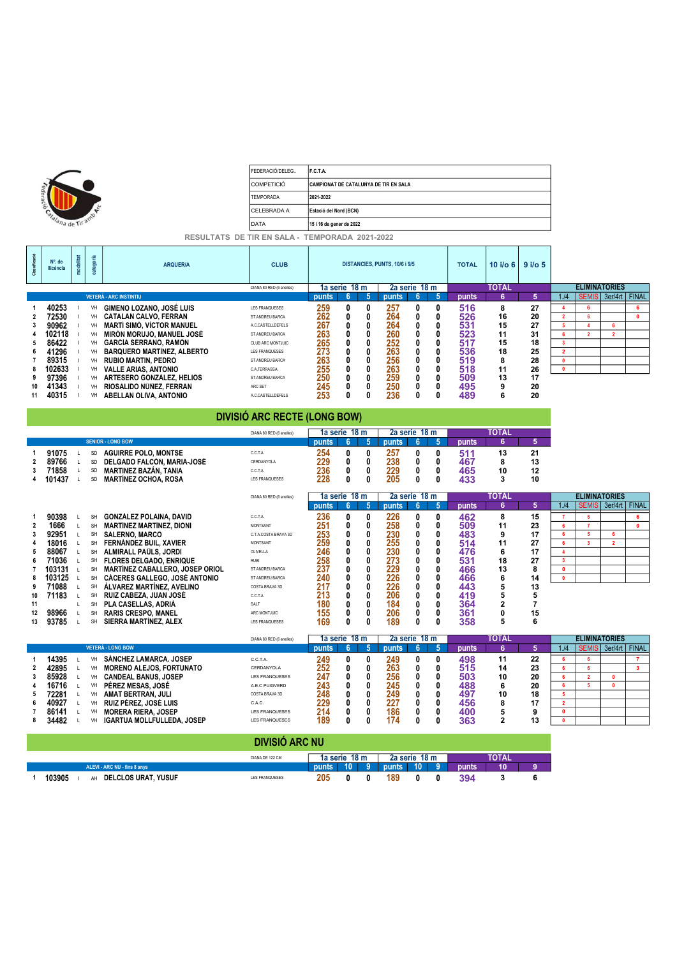

| FEDERACIÓ/DELEG  | F.C.T.A.                              |
|------------------|---------------------------------------|
| ΙςοΜΡΕΤΙΟΙΌ      | CAMPIONAT DE CATALUNYA DE TIR EN SALA |
| <b>TFMPORADA</b> | 2021-2022                             |
| ICELEBRADA A     | Estació del Nord (BCN)                |
| <b>DATA</b>      | 15 i 16 de gener de 2022              |

RESULTATS DE TIR EN SALA - TEMPORADA 2021-2022

| ÷.<br>ౘ | $N^{\circ}$ . de<br><b>Ilicéncia</b> | odalitat |    | <b>ARQUER/A</b>                   | <b>CLUB</b>              |       |                |   | DISTANCIES, PUNTS, 10/6 i 9/5 |               |   | <b>TOTAL</b> | $10 i$ / $06$ | $9$ i/o 5 |      |   |                         |    |
|---------|--------------------------------------|----------|----|-----------------------------------|--------------------------|-------|----------------|---|-------------------------------|---------------|---|--------------|---------------|-----------|------|---|-------------------------|----|
|         |                                      |          |    |                                   | DIANA 80 RED (6 anelles) |       | 1a serie  18 m |   |                               | 2a serie 18 m |   |              | <b>TOTAL</b>  |           |      |   | <b>ELIMINATÓRIES</b>    |    |
|         |                                      |          |    | <b>VETERÀ - ARC INSTINTIU</b>     |                          | punts |                |   | punts                         |               |   | punts        | ь             | 5         | 1.14 |   | SEMIS   3er/4rt   FINAL |    |
|         | 40253                                |          | VH | GIMENO LOZANO, JOSÉ LUIS          | LES FRANQUESES           | 259   |                | 0 | 257                           |               | 0 | 516          | 8             | 27        |      | 6 |                         | 6. |
|         | 72530                                |          | VH | <b>CATALAN CALVO, FERRAN</b>      | ST.ANDREU BARCA          | 262   |                | 0 | 264                           |               |   | 526          | 16            | 20        |      |   |                         |    |
|         | 90962                                |          | VH | MARTÍ SIMÓ. VÍCTOR MANUEL         | A.C.CASTELLDEFELS        | 267   |                |   | 264                           |               |   | 531          | 15            | 27        |      |   |                         |    |
|         | 102118                               |          |    | <b>MIRÓN MORUJO. MANUEL JOSÉ</b>  | ST.ANDREU BARCA          | 263   |                | 0 | 260                           |               |   | 523          | 11            | 31        |      |   |                         |    |
|         | 86422                                |          | VH | <b>GARCÍA SERRANO, RAMÓN</b>      | <b>CLUB ARC MONTJUIC</b> | 265   |                | 0 | 252                           |               |   | 517          | 15            | 18        |      |   |                         |    |
|         | 41296                                |          | VH | <b>BARQUERO MARTINEZ, ALBERTO</b> | LES FRANQUESES           | 273   |                | 0 | 263                           |               |   | 536          | 18            | 25        |      |   |                         |    |
|         | 89315                                |          | VH | <b>RUBIO MARTIN, PEDRO</b>        | ST.ANDREU BARCA          | 263   |                | 0 | 256                           |               |   | 519          | 8             | 28        |      |   |                         |    |
|         | 102633                               |          | VH | <b>VALLE ARIAS, ANTONIO</b>       | C.A.TERRASSA             | 255   |                | 0 | 263                           |               |   | 518          | 11            | 26        |      |   |                         |    |
|         | 97396                                |          | VH | ARTESERO GONZÁLEZ, HELIOS         | ST.ANDREU BARCA          | 250   |                |   | 259                           |               |   | 509          | 13            | 17        |      |   |                         |    |
| 10      | 41343                                |          | VH | RIOSALIDO NÚÑEZ, FERRAN           | ARC SET                  | 245   |                | 0 | 250                           |               |   | 495          |               | 20        |      |   |                         |    |
| 11      | 40315                                |          | VH | ABELLAN OLIVA, ANTONIO            | A.C.CASTELLDEFELS        | 253   |                | 0 | 236                           |               |   | 489          | h             | 20        |      |   |                         |    |

|  | <b>DIVISIO ARC RECTE (LONG BOW)</b> |  |  |
|--|-------------------------------------|--|--|
|--|-------------------------------------|--|--|

|                                                                                                                                                                                   |                                                                                                                                                          |        |                                                                            |                                                                                                                                                                                                                                                                                                                                                                                                               | DIANA 80 RED (6 anelles)                                                                                                                                                                                              | 1a serie 18 m                                                                           |                                   |                                                               | 2a serie 18 m                                                                           |                                                               |                                                                          |                                                                                         | TOTAL                                                                          |                                                                   |                                                                                                            |                                                     |                              |                                           |
|-----------------------------------------------------------------------------------------------------------------------------------------------------------------------------------|----------------------------------------------------------------------------------------------------------------------------------------------------------|--------|----------------------------------------------------------------------------|---------------------------------------------------------------------------------------------------------------------------------------------------------------------------------------------------------------------------------------------------------------------------------------------------------------------------------------------------------------------------------------------------------------|-----------------------------------------------------------------------------------------------------------------------------------------------------------------------------------------------------------------------|-----------------------------------------------------------------------------------------|-----------------------------------|---------------------------------------------------------------|-----------------------------------------------------------------------------------------|---------------------------------------------------------------|--------------------------------------------------------------------------|-----------------------------------------------------------------------------------------|--------------------------------------------------------------------------------|-------------------------------------------------------------------|------------------------------------------------------------------------------------------------------------|-----------------------------------------------------|------------------------------|-------------------------------------------|
|                                                                                                                                                                                   |                                                                                                                                                          |        |                                                                            | <b>SENIOR - LONG BOW</b>                                                                                                                                                                                                                                                                                                                                                                                      |                                                                                                                                                                                                                       | punts                                                                                   | 6                                 | 5                                                             | punts                                                                                   | 6                                                             | 5                                                                        | punts                                                                                   | 6                                                                              | 5 <sup>5</sup>                                                    |                                                                                                            |                                                     |                              |                                           |
| 91075<br>89766<br>71858<br>3<br>101437<br>4                                                                                                                                       | L<br>L                                                                                                                                                   | L<br>L | SD<br>SD<br>SD<br>SD                                                       | <b>AGUIRRE POLO, MONTSE</b><br>DELGADO FALCÓN, MARIA-JOSÉ<br><b>MARTINEZ BAZÁN, TANIA</b><br><b>MARTÍNEZ OCHOA, ROSA</b>                                                                                                                                                                                                                                                                                      | C.C.T.A<br>CERDANYOLA<br>C.C.T.A<br><b>LES FRANQUESES</b>                                                                                                                                                             | 254<br>229<br>236<br>228                                                                |                                   | 0<br>0<br>0<br>U                                              | 257<br>238<br>229<br>205                                                                | 0<br>0<br>0<br>U                                              | 0<br>0<br>0<br>$\mathbf{0}$                                              | 511<br>467<br>465<br>433                                                                | 13<br>8<br>10<br>3                                                             | 21<br>13<br>12<br>10                                              |                                                                                                            |                                                     |                              |                                           |
|                                                                                                                                                                                   |                                                                                                                                                          |        |                                                                            |                                                                                                                                                                                                                                                                                                                                                                                                               | DIANA 80 RED (6 anelles)                                                                                                                                                                                              | 1a serie 18 m<br>punts                                                                  | 6                                 | 5                                                             | 2a serie 18 m<br><b>punts</b>                                                           | 6                                                             | 5                                                                        | punts                                                                                   | <b>TOTAL</b><br>6                                                              | 5                                                                 | 1.14                                                                                                       | <b>ELIMINATÓRIES</b><br><b>SEMIS</b>                | 3er/4rt                      | <b>FINAL</b>                              |
| 90398<br>1666<br>$\overline{\phantom{a}}$<br>92951<br>3<br>18016<br>88067<br>5<br>71036<br>103131<br>103125<br>8<br>71088<br>9<br>71183<br>10<br>11<br>98966<br>12<br>93785<br>13 | $\mathsf{L}$<br><b>L</b><br>$\mathsf{L}$<br>$\mathsf{L}$<br>$\mathsf{L}$<br>$\mathsf{L}$<br>$\mathsf{L}$<br>$\mathsf{L}$<br>$\mathsf{L}$<br>$\mathsf{L}$ | L      | SH<br>SH<br>SH<br>SH<br>SH<br>SH<br>SH<br>SH<br>SH<br>SH<br>SH<br>SH<br>SH | <b>GONZÁLEZ POLAINA, DAVID</b><br><b>MARTINEZ MARTINEZ, DIONI</b><br><b>SALERNO, MARCO</b><br><b>FERNÁNDEZ BUIL, XAVIER</b><br>ALMIRALL PAÜLS, JORDI<br><b>FLORES DELGADO, ENRIQUE</b><br><b>MARTÍNEZ CABALLERO, JOSEP ORIOL</b><br><b>CÁCERES GALLEGO, JOSÉ ANTONIO</b><br>ÁLVAREZ MARTÍNEZ, AVELINO<br>RUIZ CABEZA, JUAN JOSÉ<br>PLA CASELLAS, ADRIÀ<br><b>RARIS CRESPO, MANEL</b><br>SIERRA MARTÍNEZ, ALEX | C.C.T.A.<br><b>MONTSANT</b><br>C.T.A.COSTA BRAVA 3D<br><b>MONTSANT</b><br>OLIVELLA<br><b>RUBI</b><br>ST ANDREU BARCA<br>ST ANDREU BARCA<br>COSTA BRAVA 3D<br>C.C.T.A<br>SALT<br>ARC MONTJUIC<br><b>LES FRANQUESES</b> | 236<br>251<br>253<br>259<br>246<br>258<br>237<br>240<br>217<br>213<br>180<br>155<br>169 | $\Omega$                          | 0<br>0<br>0<br>0<br>0<br>0<br>0<br>0<br>0<br>0<br>0<br>0<br>0 | 226<br>258<br>230<br>255<br>230<br>273<br>229<br>226<br>226<br>206<br>184<br>206<br>189 | 0<br>0<br>0<br>0<br>0<br>0<br>0<br>0<br>0<br>0<br>0<br>0<br>O | 0<br>0<br>0<br>0<br>0<br>0<br>0<br>0<br>0<br>0<br>0<br>0<br>$\mathbf{0}$ | 462<br>509<br>483<br>514<br>476<br>531<br>466<br>466<br>443<br>419<br>364<br>361<br>358 | 8<br>11<br>9<br>11<br>6<br>18<br>13<br>6<br>5<br>5<br>$\overline{2}$<br>0<br>5 | 15<br>23<br>17<br>27<br>17<br>27<br>8<br>14<br>13<br>5<br>15<br>6 | $\overline{7}$<br>6<br>6<br>6<br>$\overline{4}$<br>$\overline{\mathbf{3}}$<br>$\mathbf{0}$<br>$\mathbf{0}$ | 6<br>$\overline{7}$<br>5<br>$\overline{\mathbf{3}}$ | 6<br>$\overline{2}$          | 6<br>$\mathbf{0}$                         |
|                                                                                                                                                                                   |                                                                                                                                                          |        |                                                                            |                                                                                                                                                                                                                                                                                                                                                                                                               | DIANA 80 RED (6 anelles)                                                                                                                                                                                              | 1a serie 18 m                                                                           |                                   |                                                               | 2a serie 18 m                                                                           |                                                               |                                                                          |                                                                                         | <b>TOTAL</b>                                                                   |                                                                   |                                                                                                            | <b>ELIMINATORIES</b>                                |                              |                                           |
|                                                                                                                                                                                   |                                                                                                                                                          |        |                                                                            | <b>VETERÀ - LONG BOW</b>                                                                                                                                                                                                                                                                                                                                                                                      |                                                                                                                                                                                                                       | punts                                                                                   |                                   | 5                                                             | punts                                                                                   | 6                                                             | 5                                                                        | punts                                                                                   | $6\phantom{a}$                                                                 | 5                                                                 | 1.14                                                                                                       | <b>SEMIS</b>                                        | 3er/4rt   FINAL              |                                           |
| 14395<br>42895<br>85928<br>3<br>16716<br>72281<br>40927<br>86141<br>34482<br>8                                                                                                    | <b>L</b><br>$\mathsf{L}$<br>$\mathsf{L}$<br>$\mathsf{L}$<br>$\mathsf{L}$<br>$\mathsf{L}$                                                                 |        | VH<br>VH<br>VH<br>VH<br>VH<br>VH<br>VH<br>VH                               | <b>SÁNCHEZ LAMARCA. JOSEP</b><br><b>MORENO ALEJOS, FORTUNATO</b><br><b>CANDEAL BANUS, JOSEP</b><br>PÉREZ MESAS, JOSÉ<br>AMAT BERTRAN, JULI<br>RUIZ PÉREZ. JOSÉ LUIS<br><b>MORERA RIERA, JOSEP</b><br><b>IGARTUA MOLLFULLEDA, JOSEP</b>                                                                                                                                                                        | C.C.T.A.<br>CERDANYOLA<br><b>LES FRANQUESES</b><br>A.E.C PUIGVERD<br>COSTA BRAVA 3D<br>C.A.C.<br><b>LES FRANQUESES</b><br><b>LES FRANQUESES</b>                                                                       | 249<br>252<br>247<br>243<br>248<br>229<br>214<br>189                                    | 0<br>$\mathbf{0}$<br>$\mathbf{0}$ | 0<br>0<br>0<br>0<br>0<br>0<br>0<br>$\mathbf{0}$               | 249<br>263<br>256<br>245<br>249<br>227<br>186<br>174                                    | 0<br>0<br>0<br>0<br>0<br>0<br>0<br>0                          | 0<br>0<br>0<br>0<br>0<br>$\mathbf{0}$<br>0<br>$\mathbf{0}$               | 498<br>515<br>503<br>488<br>497<br>456<br>400<br>363                                    | 11<br>14<br>10<br>6<br>10<br>8<br>5<br>$\mathbf{2}$                            | 22<br>23<br>20<br>20<br>18<br>17<br>9<br>13                       | 6<br>6<br>6<br>6<br>5<br>$\overline{2}$<br>$\mathbf{0}$<br>$\mathbf{0}$                                    | 6<br>6<br>$\overline{2}$<br>-5                      | $\mathbf{0}$<br>$\mathbf{r}$ | $\overline{7}$<br>$\overline{\mathbf{3}}$ |
|                                                                                                                                                                                   |                                                                                                                                                          |        |                                                                            |                                                                                                                                                                                                                                                                                                                                                                                                               | DIVISIÓ ARC NU                                                                                                                                                                                                        |                                                                                         |                                   |                                                               |                                                                                         |                                                               |                                                                          |                                                                                         |                                                                                |                                                                   |                                                                                                            |                                                     |                              |                                           |

|                                            | DIANA DE 122 CM | 1a serie |    | 18 m | 2a serie | 18 m |  | <b>TOTAL</b> |    |  |  |  |
|--------------------------------------------|-----------------|----------|----|------|----------|------|--|--------------|----|--|--|--|
| ALEVI - ARC NU - fins 8 anys               |                 | punts'   | 10 |      | punts    | .10  |  | punts        | 10 |  |  |  |
| 103905<br><b>DELCLOS URAT. YUSUF</b><br>AH | LES FRANQUESES  | 205      |    |      | 189      |      |  | 394          |    |  |  |  |